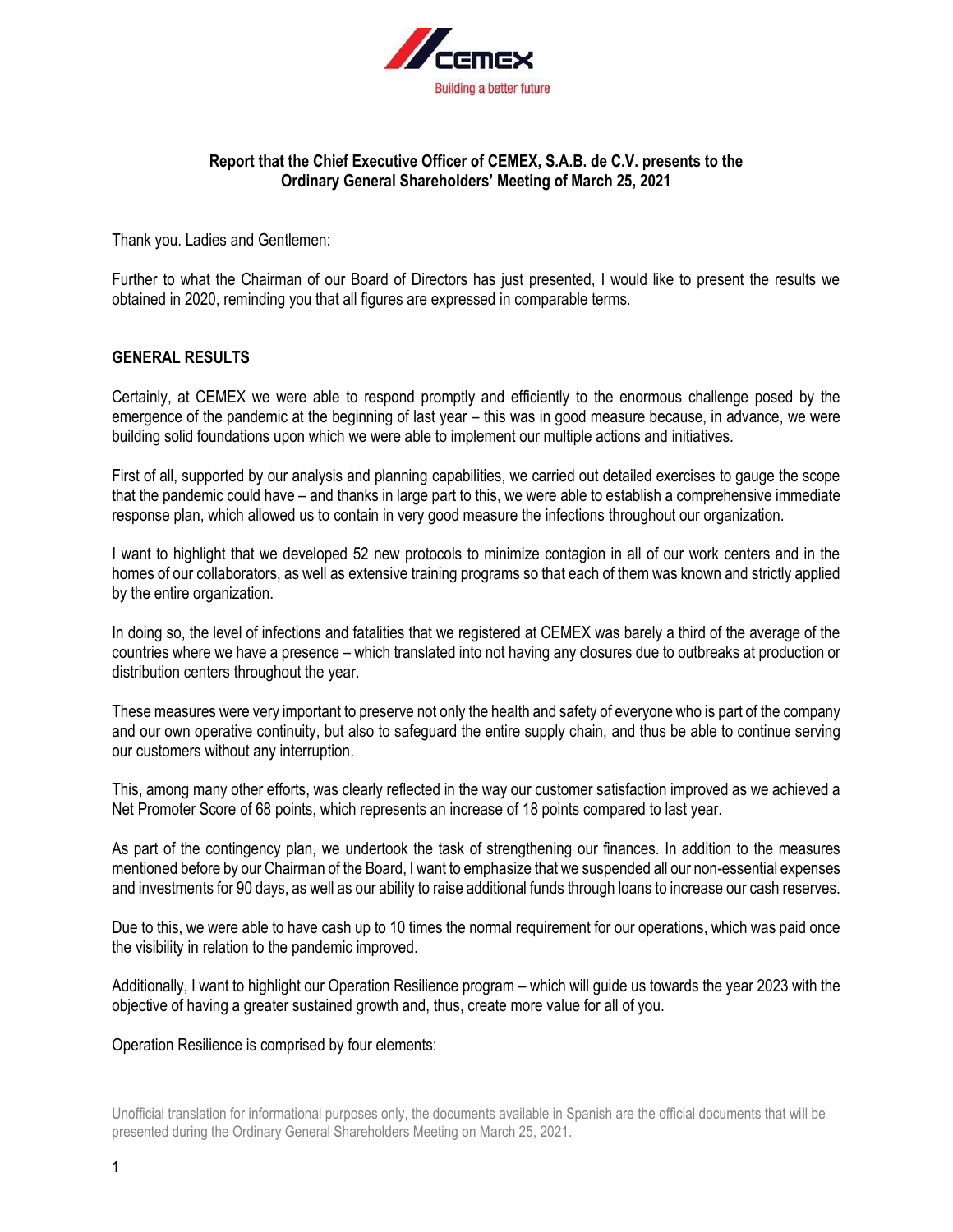

# **Report that the Chief Executive Officer of CEMEX, S.A.B. de C.V. presents to the Ordinary General Shareholders' Meeting of March 25, 2021**

Thank you. Ladies and Gentlemen:

Further to what the Chairman of our Board of Directors has just presented, I would like to present the results we obtained in 2020, reminding you that all figures are expressed in comparable terms.

# **GENERAL RESULTS**

Certainly, at CEMEX we were able to respond promptly and efficiently to the enormous challenge posed by the emergence of the pandemic at the beginning of last year – this was in good measure because, in advance, we were building solid foundations upon which we were able to implement our multiple actions and initiatives.

First of all, supported by our analysis and planning capabilities, we carried out detailed exercises to gauge the scope that the pandemic could have – and thanks in large part to this, we were able to establish a comprehensive immediate response plan, which allowed us to contain in very good measure the infections throughout our organization.

I want to highlight that we developed 52 new protocols to minimize contagion in all of our work centers and in the homes of our collaborators, as well as extensive training programs so that each of them was known and strictly applied by the entire organization.

In doing so, the level of infections and fatalities that we registered at CEMEX was barely a third of the average of the countries where we have a presence – which translated into not having any closures due to outbreaks at production or distribution centers throughout the year.

These measures were very important to preserve not only the health and safety of everyone who is part of the company and our own operative continuity, but also to safeguard the entire supply chain, and thus be able to continue serving our customers without any interruption.

This, among many other efforts, was clearly reflected in the way our customer satisfaction improved as we achieved a Net Promoter Score of 68 points, which represents an increase of 18 points compared to last year.

As part of the contingency plan, we undertook the task of strengthening our finances. In addition to the measures mentioned before by our Chairman of the Board, I want to emphasize that we suspended all our non-essential expenses and investments for 90 days, as well as our ability to raise additional funds through loans to increase our cash reserves.

Due to this, we were able to have cash up to 10 times the normal requirement for our operations, which was paid once the visibility in relation to the pandemic improved.

Additionally, I want to highlight our Operation Resilience program – which will guide us towards the year 2023 with the objective of having a greater sustained growth and, thus, create more value for all of you.

Operation Resilience is comprised by four elements: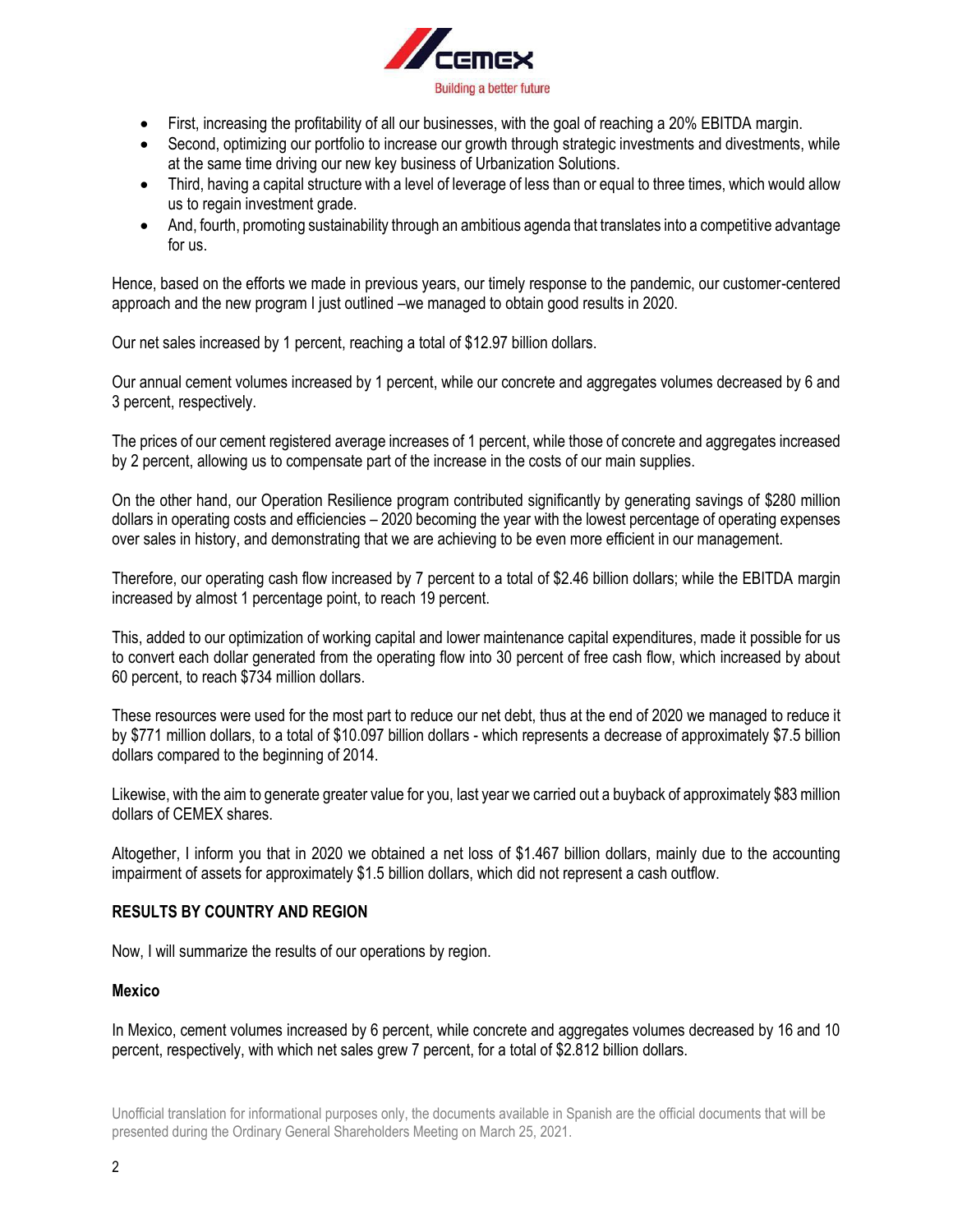

- First, increasing the profitability of all our businesses, with the goal of reaching a 20% EBITDA margin.
- Second, optimizing our portfolio to increase our growth through strategic investments and divestments, while at the same time driving our new key business of Urbanization Solutions.
- Third, having a capital structure with a level of leverage of less than or equal to three times, which would allow us to regain investment grade.
- And, fourth, promoting sustainability through an ambitious agenda that translates into a competitive advantage for us.

Hence, based on the efforts we made in previous years, our timely response to the pandemic, our customer-centered approach and the new program I just outlined –we managed to obtain good results in 2020.

Our net sales increased by 1 percent, reaching a total of \$12.97 billion dollars.

Our annual cement volumes increased by 1 percent, while our concrete and aggregates volumes decreased by 6 and 3 percent, respectively.

The prices of our cement registered average increases of 1 percent, while those of concrete and aggregates increased by 2 percent, allowing us to compensate part of the increase in the costs of our main supplies.

On the other hand, our Operation Resilience program contributed significantly by generating savings of \$280 million dollars in operating costs and efficiencies – 2020 becoming the year with the lowest percentage of operating expenses over sales in history, and demonstrating that we are achieving to be even more efficient in our management.

Therefore, our operating cash flow increased by 7 percent to a total of \$2.46 billion dollars; while the EBITDA margin increased by almost 1 percentage point, to reach 19 percent.

This, added to our optimization of working capital and lower maintenance capital expenditures, made it possible for us to convert each dollar generated from the operating flow into 30 percent of free cash flow, which increased by about 60 percent, to reach \$734 million dollars.

These resources were used for the most part to reduce our net debt, thus at the end of 2020 we managed to reduce it by \$771 million dollars, to a total of \$10.097 billion dollars - which represents a decrease of approximately \$7.5 billion dollars compared to the beginning of 2014.

Likewise, with the aim to generate greater value for you, last year we carried out a buyback of approximately \$83 million dollars of CEMEX shares.

Altogether, I inform you that in 2020 we obtained a net loss of \$1.467 billion dollars, mainly due to the accounting impairment of assets for approximately \$1.5 billion dollars, which did not represent a cash outflow.

# **RESULTS BY COUNTRY AND REGION**

Now, I will summarize the results of our operations by region.

#### **Mexico**

In Mexico, cement volumes increased by 6 percent, while concrete and aggregates volumes decreased by 16 and 10 percent, respectively, with which net sales grew 7 percent, for a total of \$2.812 billion dollars.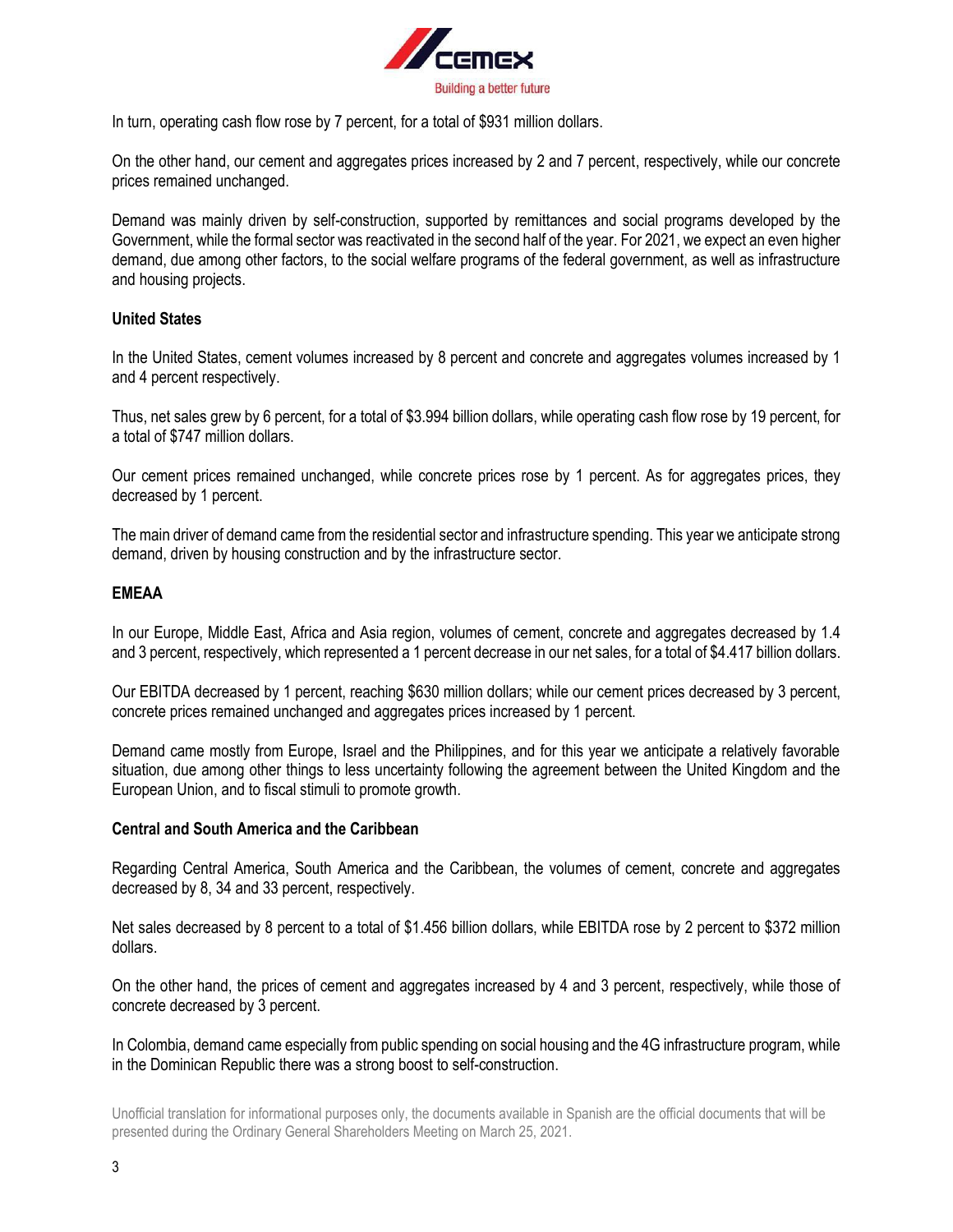

In turn, operating cash flow rose by 7 percent, for a total of \$931 million dollars.

On the other hand, our cement and aggregates prices increased by 2 and 7 percent, respectively, while our concrete prices remained unchanged.

Demand was mainly driven by self-construction, supported by remittances and social programs developed by the Government, while the formal sector was reactivated in the second half of the year. For 2021, we expect an even higher demand, due among other factors, to the social welfare programs of the federal government, as well as infrastructure and housing projects.

# **United States**

In the United States, cement volumes increased by 8 percent and concrete and aggregates volumes increased by 1 and 4 percent respectively.

Thus, net sales grew by 6 percent, for a total of \$3.994 billion dollars, while operating cash flow rose by 19 percent, for a total of \$747 million dollars.

Our cement prices remained unchanged, while concrete prices rose by 1 percent. As for aggregates prices, they decreased by 1 percent.

The main driver of demand came from the residential sector and infrastructure spending. This year we anticipate strong demand, driven by housing construction and by the infrastructure sector.

### **EMEAA**

In our Europe, Middle East, Africa and Asia region, volumes of cement, concrete and aggregates decreased by 1.4 and 3 percent, respectively, which represented a 1 percent decrease in our net sales, for a total of \$4.417 billion dollars.

Our EBITDA decreased by 1 percent, reaching \$630 million dollars; while our cement prices decreased by 3 percent, concrete prices remained unchanged and aggregates prices increased by 1 percent.

Demand came mostly from Europe, Israel and the Philippines, and for this year we anticipate a relatively favorable situation, due among other things to less uncertainty following the agreement between the United Kingdom and the European Union, and to fiscal stimuli to promote growth.

#### **Central and South America and the Caribbean**

Regarding Central America, South America and the Caribbean, the volumes of cement, concrete and aggregates decreased by 8, 34 and 33 percent, respectively.

Net sales decreased by 8 percent to a total of \$1.456 billion dollars, while EBITDA rose by 2 percent to \$372 million dollars.

On the other hand, the prices of cement and aggregates increased by 4 and 3 percent, respectively, while those of concrete decreased by 3 percent.

In Colombia, demand came especially from public spending on social housing and the 4G infrastructure program, while in the Dominican Republic there was a strong boost to self-construction.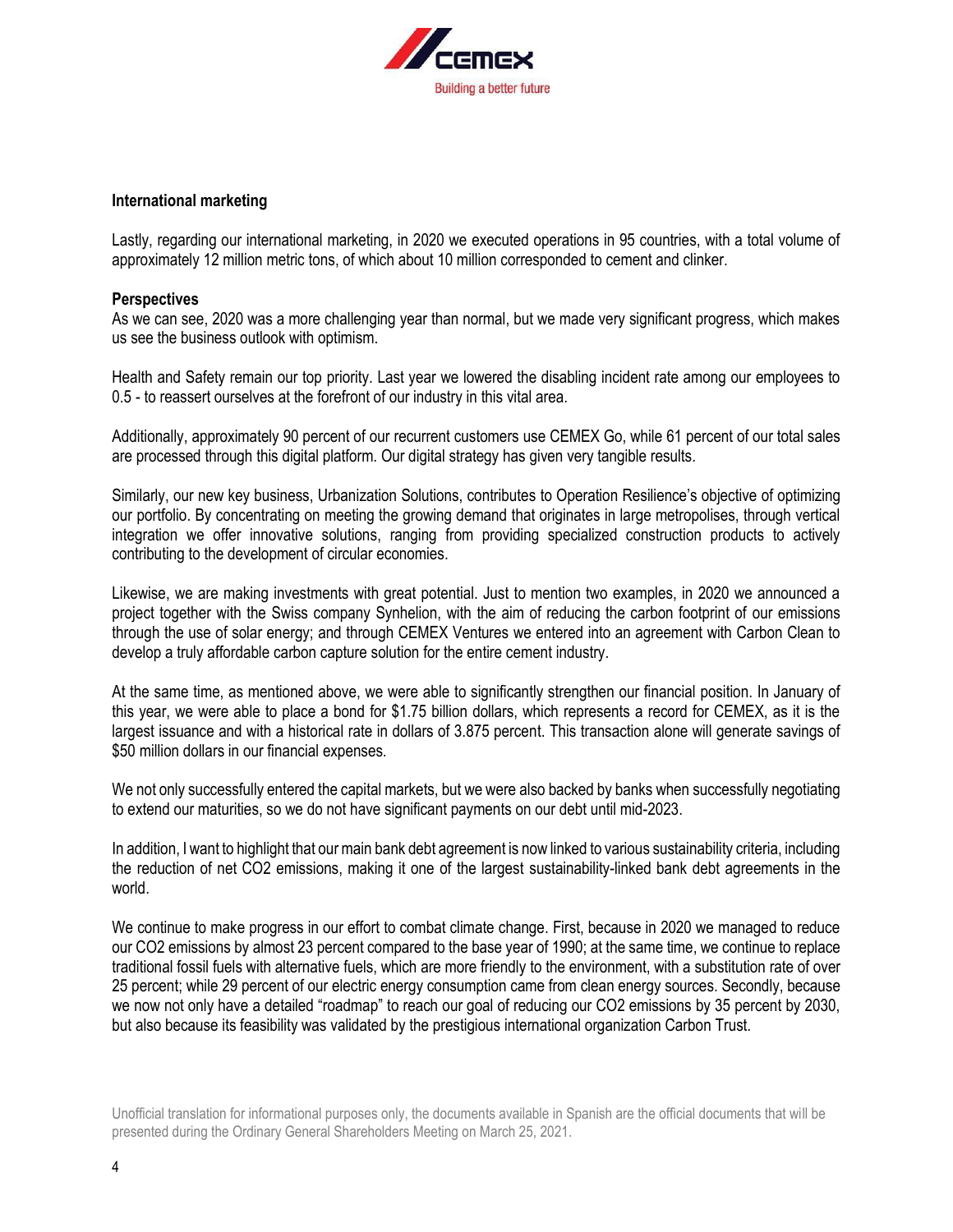

### **International marketing**

Lastly, regarding our international marketing, in 2020 we executed operations in 95 countries, with a total volume of approximately 12 million metric tons, of which about 10 million corresponded to cement and clinker.

### **Perspectives**

As we can see, 2020 was a more challenging year than normal, but we made very significant progress, which makes us see the business outlook with optimism.

Health and Safety remain our top priority. Last year we lowered the disabling incident rate among our employees to 0.5 - to reassert ourselves at the forefront of our industry in this vital area.

Additionally, approximately 90 percent of our recurrent customers use CEMEX Go, while 61 percent of our total sales are processed through this digital platform. Our digital strategy has given very tangible results.

Similarly, our new key business, Urbanization Solutions, contributes to Operation Resilience's objective of optimizing our portfolio. By concentrating on meeting the growing demand that originates in large metropolises, through vertical integration we offer innovative solutions, ranging from providing specialized construction products to actively contributing to the development of circular economies.

Likewise, we are making investments with great potential. Just to mention two examples, in 2020 we announced a project together with the Swiss company Synhelion, with the aim of reducing the carbon footprint of our emissions through the use of solar energy; and through CEMEX Ventures we entered into an agreement with Carbon Clean to develop a truly affordable carbon capture solution for the entire cement industry.

At the same time, as mentioned above, we were able to significantly strengthen our financial position. In January of this year, we were able to place a bond for \$1.75 billion dollars, which represents a record for CEMEX, as it is the largest issuance and with a historical rate in dollars of 3.875 percent. This transaction alone will generate savings of \$50 million dollars in our financial expenses.

We not only successfully entered the capital markets, but we were also backed by banks when successfully negotiating to extend our maturities, so we do not have significant payments on our debt until mid-2023.

In addition, I want to highlight that our main bank debt agreement is now linked to various sustainability criteria, including the reduction of net CO2 emissions, making it one of the largest sustainability-linked bank debt agreements in the world.

We continue to make progress in our effort to combat climate change. First, because in 2020 we managed to reduce our CO2 emissions by almost 23 percent compared to the base year of 1990; at the same time, we continue to replace traditional fossil fuels with alternative fuels, which are more friendly to the environment, with a substitution rate of over 25 percent; while 29 percent of our electric energy consumption came from clean energy sources. Secondly, because we now not only have a detailed "roadmap" to reach our goal of reducing our CO2 emissions by 35 percent by 2030, but also because its feasibility was validated by the prestigious international organization Carbon Trust.